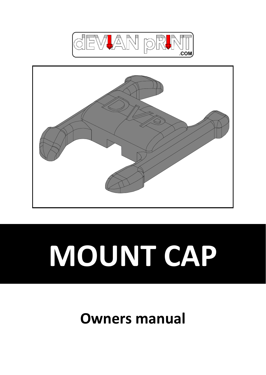



# **MOUNT CAP**

# **Owners manual**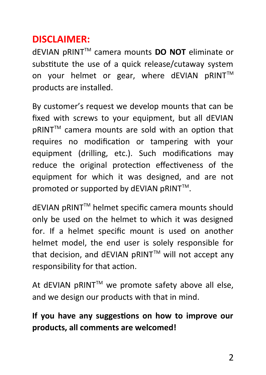# **DISCLAIMER:**

dEVIAN pRINTTM camera mounts **DO NOT** eliminate or substitute the use of a quick release/cutaway system on your helmet or gear, where dEVIAN pRINT™ products are installed.

By customer's request we develop mounts that can be fixed with screws to your equipment, but all dEVIAN pRINT™ camera mounts are sold with an option that requires no modification or tampering with your equipment (drilling, etc.). Such modifications may reduce the original protection effectiveness of the equipment for which it was designed, and are not promoted or supported by dEVIAN pRINT™.

dEVIAN pRINTTM helmet specific camera mounts should only be used on the helmet to which it was designed for. If a helmet specific mount is used on another helmet model, the end user is solely responsible for that decision, and dEVIAN pRINT™ will not accept any responsibility for that action.

At dEVIAN pRINT™ we promote safety above all else, and we design our products with that in mind.

# **If you have any suggestions on how to improve our products, all comments are welcomed!**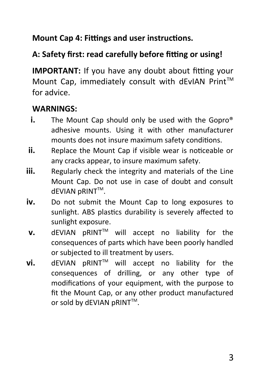**Mount Cap 4: Fittings and user instructions.**

## **A: Safety first: read carefully before fitting or using!**

**IMPORTANT:** If you have any doubt about fitting your Mount Cap, immediately consult with dEvIAN Print™ for advice.

#### **WARNINGS:**

- **i.** The Mount Cap should only be used with the Gopro<sup>®</sup> adhesive mounts. Using it with other manufacturer mounts does not insure maximum safety conditions.
- **ii.** Replace the Mount Cap if visible wear is noticeable or any cracks appear, to insure maximum safety.
- **iii.** Regularly check the integrity and materials of the Line Mount Cap. Do not use in case of doubt and consult dEVIAN pRINT™.
- **iv.** Do not submit the Mount Cap to long exposures to sunlight. ABS plastics durability is severely affected to sunlight exposure.
- **v.** dEVIAN pRINT™ will accept no liability for the consequences of parts which have been poorly handled or subjected to ill treatment by users.
- **vi.** dEVIAN pRINT™ will accept no liability for the consequences of drilling, or any other type of modifications of your equipment, with the purpose to fit the Mount Cap, or any other product manufactured or sold by dEVIAN pRINT™.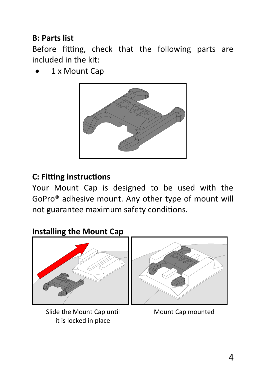#### **B: Parts list**

Before fitting, check that the following parts are included in the kit:

1 x Mount Cap



## **C: Fitting instructions**

Your Mount Cap is designed to be used with the GoPro® adhesive mount. Any other type of mount will not guarantee maximum safety conditions.

# **Installing the Mount Cap**



Slide the Mount Cap until Mount Cap mounted it is locked in place